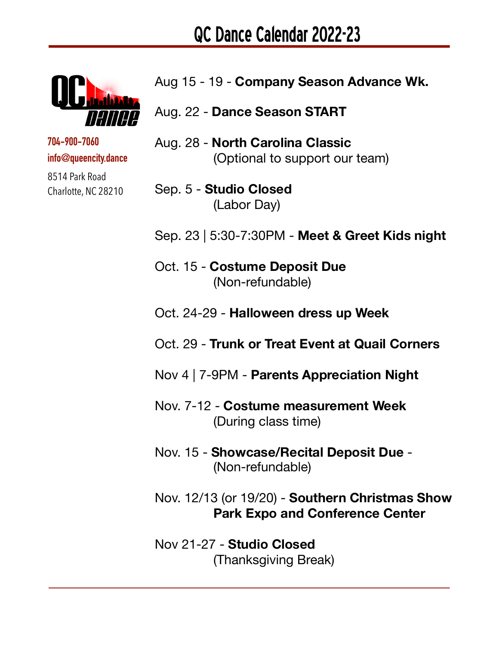

## **704-900-7060 info@queencity.dance**

8514 Park Road Charlotte, NC 28210

- Aug 15 19 **Company Season Advance Wk.**
- Aug. 22 **Dance Season START**
- Aug. 28 **North Carolina Classic**  (Optional to support our team)
- Sep. 5 **Studio Closed**  (Labor Day)
- Sep. 23 | 5:30-7:30PM **Meet & Greet Kids night**
- Oct. 15 **Costume Deposit Due**  (Non-refundable)
- Oct. 24-29 **Halloween dress up Week**
- Oct. 29 **Trunk or Treat Event at Quail Corners**
- Nov 4 | 7-9PM **Parents Appreciation Night**
- Nov. 7-12 **Costume measurement Week**  (During class time)
- Nov. 15 **Showcase/Recital Deposit Due** (Non-refundable)
- Nov. 12/13 (or 19/20) **Southern Christmas Show Park Expo and Conference Center**
- Nov 21-27 **Studio Closed**  (Thanksgiving Break)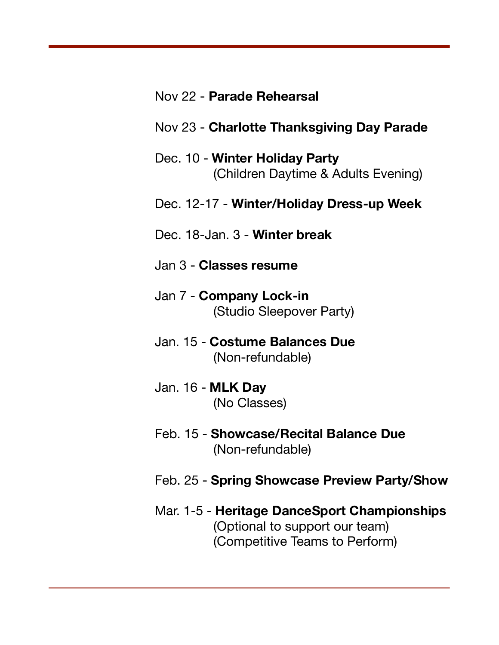## Nov 22 - **Parade Rehearsal**

## Nov 23 - **Charlotte Thanksgiving Day Parade**

Dec. 10 - **Winter Holiday Party**  (Children Daytime & Adults Evening)

## Dec. 12-17 - **Winter/Holiday Dress-up Week**

- Dec. 18-Jan. 3 **Winter break**
- Jan 3 **Classes resume**
- Jan 7 **Company Lock-in**  (Studio Sleepover Party)
- Jan. 15 **Costume Balances Due**  (Non-refundable)
- Jan. 16 **MLK Day**  (No Classes)
- Feb. 15 **Showcase/Recital Balance Due**  (Non-refundable)
- Feb. 25 **Spring Showcase Preview Party/Show**
- Mar. 1-5 **Heritage DanceSport Championships**  (Optional to support our team) (Competitive Teams to Perform)